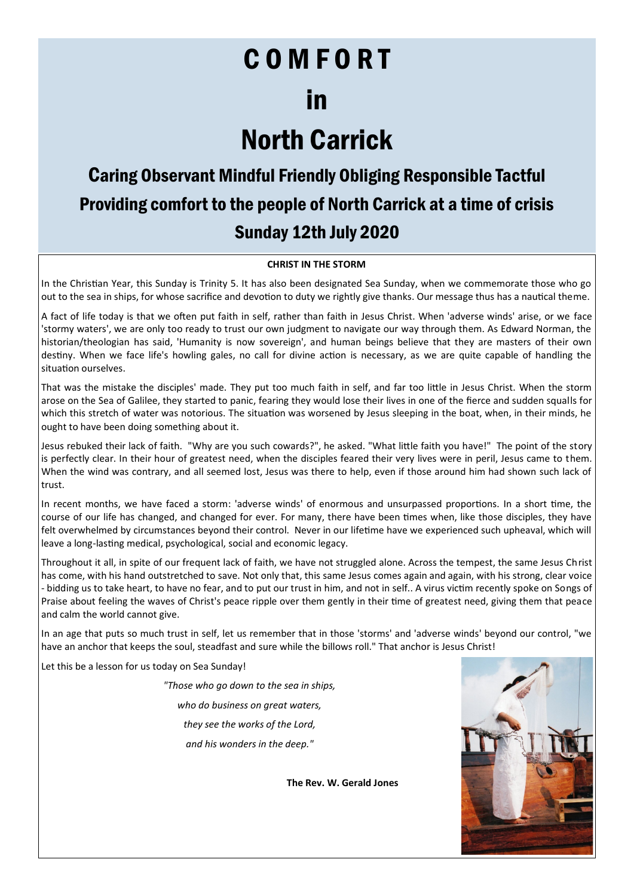# C O M F O R T

# in

# North Carrick

# Caring Observant Mindful Friendly Obliging Responsible Tactful Providing comfort to the people of North Carrick at a time of crisis Sunday 12th July 2020

### **CHRIST IN THE STORM**

In the Christian Year, this Sunday is Trinity 5. It has also been designated Sea Sunday, when we commemorate those who go out to the sea in ships, for whose sacrifice and devotion to duty we rightly give thanks. Our message thus has a nautical theme.

A fact of life today is that we often put faith in self, rather than faith in Jesus Christ. When 'adverse winds' arise, or we face 'stormy waters', we are only too ready to trust our own judgment to navigate our way through them. As Edward Norman, the historian/theologian has said, 'Humanity is now sovereign', and human beings believe that they are masters of their own destiny. When we face life's howling gales, no call for divine action is necessary, as we are quite capable of handling the situation ourselves.

That was the mistake the disciples' made. They put too much faith in self, and far too little in Jesus Christ. When the storm arose on the Sea of Galilee, they started to panic, fearing they would lose their lives in one of the fierce and sudden squalls for which this stretch of water was notorious. The situation was worsened by Jesus sleeping in the boat, when, in their minds, he ought to have been doing something about it.

Jesus rebuked their lack of faith. "Why are you such cowards?", he asked. "What little faith you have!" The point of the story is perfectly clear. In their hour of greatest need, when the disciples feared their very lives were in peril, Jesus came to them. When the wind was contrary, and all seemed lost, Jesus was there to help, even if those around him had shown such lack of trust.

In recent months, we have faced a storm: 'adverse winds' of enormous and unsurpassed proportions. In a short time, the course of our life has changed, and changed for ever. For many, there have been times when, like those disciples, they have felt overwhelmed by circumstances beyond their control. Never in our lifetime have we experienced such upheaval, which will leave a long-lasting medical, psychological, social and economic legacy.

Throughout it all, in spite of our frequent lack of faith, we have not struggled alone. Across the tempest, the same Jesus Christ has come, with his hand outstretched to save. Not only that, this same Jesus comes again and again, with his strong, clear voice - bidding us to take heart, to have no fear, and to put our trust in him, and not in self.. A virus victim recently spoke on Songs of Praise about feeling the waves of Christ's peace ripple over them gently in their time of greatest need, giving them that peace and calm the world cannot give.

In an age that puts so much trust in self, let us remember that in those 'storms' and 'adverse winds' beyond our control, "we have an anchor that keeps the soul, steadfast and sure while the billows roll." That anchor is Jesus Christ!

Let this be a lesson for us today on Sea Sunday!

*"Those who go down to the sea in ships, who do business on great waters, they see the works of the Lord, and his wonders in the deep."*

**The Rev. W. Gerald Jones**

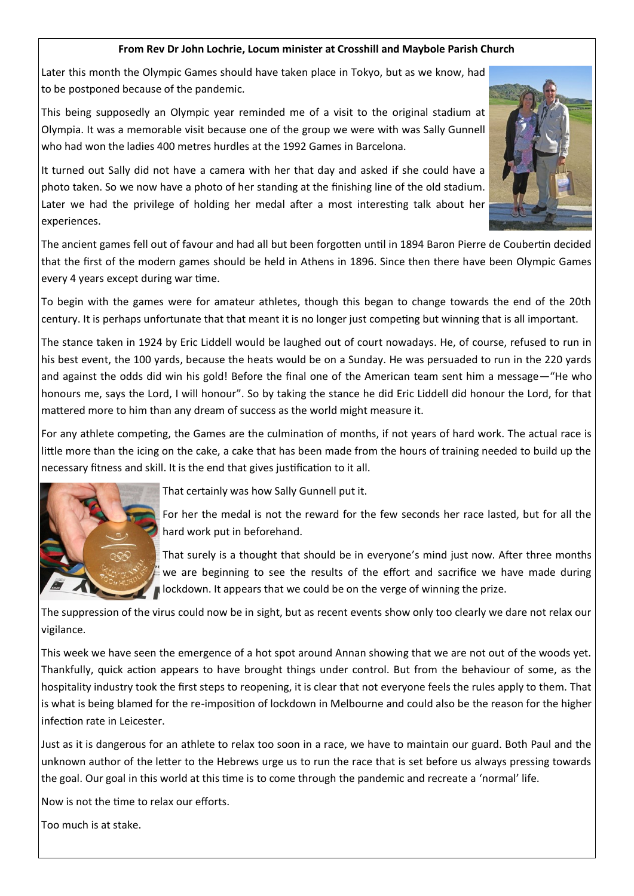### **From Rev Dr John Lochrie, Locum minister at Crosshill and Maybole Parish Church**

Later this month the Olympic Games should have taken place in Tokyo, but as we know, had to be postponed because of the pandemic.

This being supposedly an Olympic year reminded me of a visit to the original stadium at Olympia. It was a memorable visit because one of the group we were with was Sally Gunnell who had won the ladies 400 metres hurdles at the 1992 Games in Barcelona.

It turned out Sally did not have a camera with her that day and asked if she could have a photo taken. So we now have a photo of her standing at the finishing line of the old stadium. Later we had the privilege of holding her medal after a most interesting talk about her experiences.



To begin with the games were for amateur athletes, though this began to change towards the end of the 20th century. It is perhaps unfortunate that that meant it is no longer just competing but winning that is all important.

The stance taken in 1924 by Eric Liddell would be laughed out of court nowadays. He, of course, refused to run in his best event, the 100 yards, because the heats would be on a Sunday. He was persuaded to run in the 220 yards and against the odds did win his gold! Before the final one of the American team sent him a message—"He who honours me, says the Lord, I will honour". So by taking the stance he did Eric Liddell did honour the Lord, for that mattered more to him than any dream of success as the world might measure it.

For any athlete competing, the Games are the culmination of months, if not years of hard work. The actual race is little more than the icing on the cake, a cake that has been made from the hours of training needed to build up the necessary fitness and skill. It is the end that gives justification to it all.



That certainly was how Sally Gunnell put it.

For her the medal is not the reward for the few seconds her race lasted, but for all the hard work put in beforehand.

That surely is a thought that should be in everyone's mind just now. After three months we are beginning to see the results of the effort and sacrifice we have made during **N** lockdown. It appears that we could be on the verge of winning the prize.

The suppression of the virus could now be in sight, but as recent events show only too clearly we dare not relax our vigilance.

This week we have seen the emergence of a hot spot around Annan showing that we are not out of the woods yet. Thankfully, quick action appears to have brought things under control. But from the behaviour of some, as the hospitality industry took the first steps to reopening, it is clear that not everyone feels the rules apply to them. That is what is being blamed for the re-imposition of lockdown in Melbourne and could also be the reason for the higher infection rate in Leicester.

Just as it is dangerous for an athlete to relax too soon in a race, we have to maintain our guard. Both Paul and the unknown author of the letter to the Hebrews urge us to run the race that is set before us always pressing towards the goal. Our goal in this world at this time is to come through the pandemic and recreate a 'normal' life.

Now is not the time to relax our efforts.

Too much is at stake.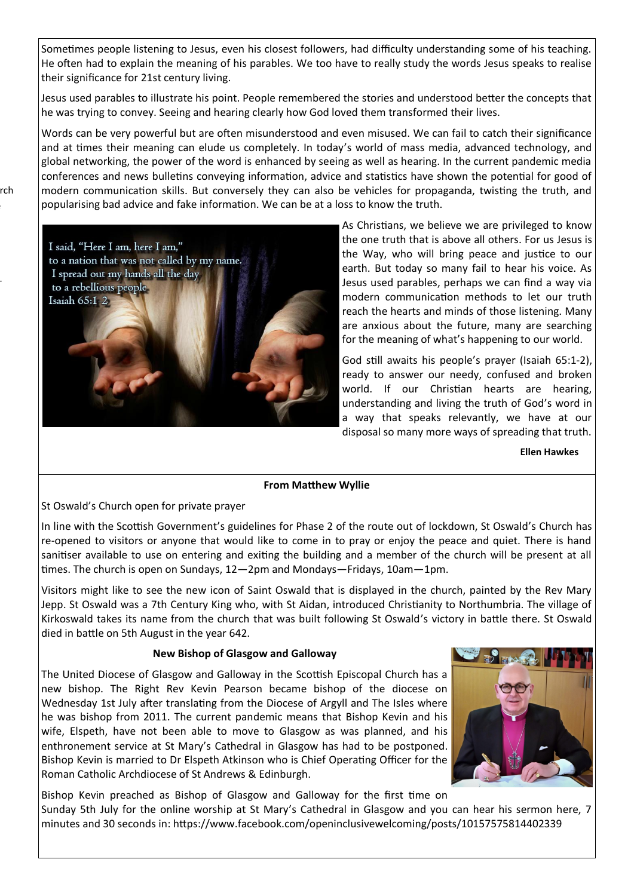Sometimes people listening to Jesus, even his closest followers, had difficulty understanding some of his teaching. He often had to explain the meaning of his parables. We too have to really study the words Jesus speaks to realise their significance for 21st century living.

Jesus used parables to illustrate his point. People remembered the stories and understood better the concepts that he was trying to convey. Seeing and hearing clearly how God loved them transformed their lives.

Words can be very powerful but are often misunderstood and even misused. We can fail to catch their significance and at times their meaning can elude us completely. In today's world of mass media, advanced technology, and global networking, the power of the word is enhanced by seeing as well as hearing. In the current pandemic media conferences and news bulletins conveying information, advice and statistics have shown the potential for good of modern communication skills. But conversely they can also be vehicles for propaganda, twisting the truth, and popularising bad advice and fake information. We can be at a loss to know the truth.

I said, "Here I am, here I am," to a nation that was not called by my name. I spread out my hands all the day to a rebellious people Isaiah 65:1-2

As Christians, we believe we are privileged to know the one truth that is above all others. For us Jesus is the Way, who will bring peace and justice to our earth. But today so many fail to hear his voice. As Jesus used parables, perhaps we can find a way via modern communication methods to let our truth reach the hearts and minds of those listening. Many are anxious about the future, many are searching for the meaning of what's happening to our world.

God still awaits his people's prayer (Isaiah 65:1-2), ready to answer our needy, confused and broken world. If our Christian hearts are hearing, understanding and living the truth of God's word in a way that speaks relevantly, we have at our disposal so many more ways of spreading that truth.

**Ellen Hawkes**

# **From Matthew Wyllie**

St Oswald's Church open for private prayer

In line with the Scottish Government's guidelines for Phase 2 of the route out of lockdown, St Oswald's Church has re-opened to visitors or anyone that would like to come in to pray or enjoy the peace and quiet. There is hand sanitiser available to use on entering and exiting the building and a member of the church will be present at all times. The church is open on Sundays, 12—2pm and Mondays—Fridays, 10am—1pm.

Visitors might like to see the new icon of Saint Oswald that is displayed in the church, painted by the Rev Mary Jepp. St Oswald was a 7th Century King who, with St Aidan, introduced Christianity to Northumbria. The village of Kirkoswald takes its name from the church that was built following St Oswald's victory in battle there. St Oswald died in battle on 5th August in the year 642.

### **New Bishop of Glasgow and Galloway**

The United Diocese of Glasgow and Galloway in the Scottish Episcopal Church has a new bishop. The Right Rev Kevin Pearson became bishop of the diocese on Wednesday 1st July after translating from the Diocese of Argyll and The Isles where he was bishop from 2011. The current pandemic means that Bishop Kevin and his wife, Elspeth, have not been able to move to Glasgow as was planned, and his enthronement service at St Mary's Cathedral in Glasgow has had to be postponed. Bishop Kevin is married to Dr Elspeth Atkinson who is Chief Operating Officer for the Roman Catholic Archdiocese of St Andrews & Edinburgh.



Bishop Kevin preached as Bishop of Glasgow and Galloway for the first time on Sunday 5th July for the online worship at St Mary's Cathedral in Glasgow and you can hear his sermon here, 7 minutes and 30 seconds in: https://www.facebook.com/openinclusivewelcoming/posts/10157575814402339

rch

 $\cdot$ 

Scottish Govern-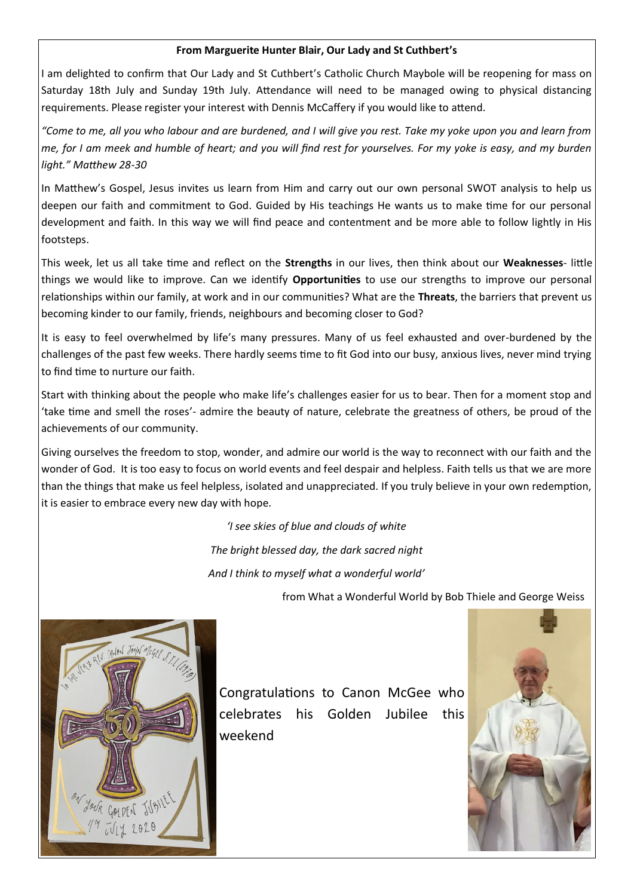# **From Marguerite Hunter Blair, Our Lady and St Cuthbert's**

I am delighted to confirm that Our Lady and St Cuthbert's Catholic Church Maybole will be reopening for mass on Saturday 18th July and Sunday 19th July. Attendance will need to be managed owing to physical distancing requirements. Please register your interest with Dennis McCaffery if you would like to attend.

*"Come to me, all you who labour and are burdened, and I will give you rest. Take my yoke upon you and learn from me, for I am meek and humble of heart; and you will find rest for yourselves. For my yoke is easy, and my burden light." Matthew 28-30*

In Matthew's Gospel, Jesus invites us learn from Him and carry out our own personal SWOT analysis to help us deepen our faith and commitment to God. Guided by His teachings He wants us to make time for our personal development and faith. In this way we will find peace and contentment and be more able to follow lightly in His footsteps.

This week, let us all take time and reflect on the **Strengths** in our lives, then think about our **Weaknesses**- little things we would like to improve. Can we identify **Opportunities** to use our strengths to improve our personal relationships within our family, at work and in our communities? What are the **Threats**, the barriers that prevent us becoming kinder to our family, friends, neighbours and becoming closer to God?

It is easy to feel overwhelmed by life's many pressures. Many of us feel exhausted and over-burdened by the challenges of the past few weeks. There hardly seems time to fit God into our busy, anxious lives, never mind trying to find time to nurture our faith.

Start with thinking about the people who make life's challenges easier for us to bear. Then for a moment stop and 'take time and smell the roses'- admire the beauty of nature, celebrate the greatness of others, be proud of the achievements of our community.

Giving ourselves the freedom to stop, wonder, and admire our world is the way to reconnect with our faith and the wonder of God. It is too easy to focus on world events and feel despair and helpless. Faith tells us that we are more than the things that make us feel helpless, isolated and unappreciated. If you truly believe in your own redemption, it is easier to embrace every new day with hope.

> *'I see skies of blue and clouds of white The bright blessed day, the dark sacred night And I think to myself what a wonderful world'*

> > from What a Wonderful World by Bob Thiele and George Weiss



Congratulations to Canon McGee who celebrates his Golden Jubilee this weekend